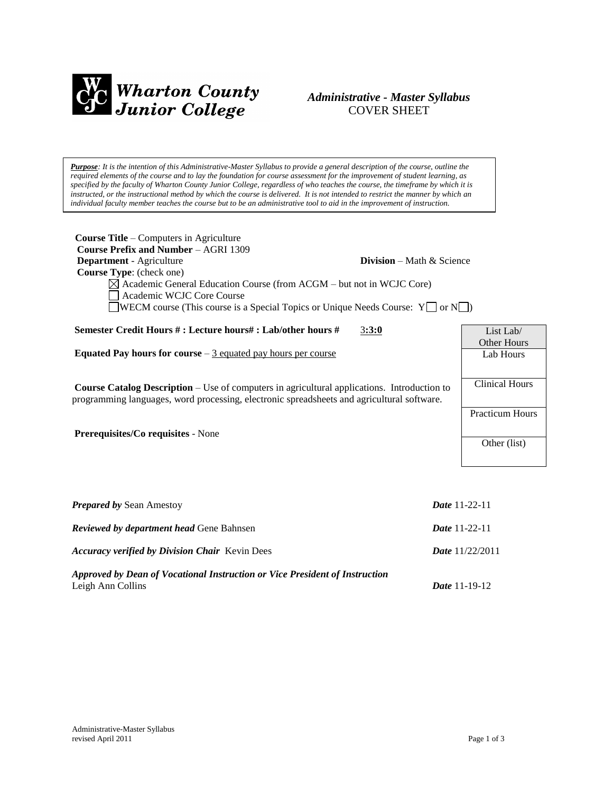

# *Administrative - Master Syllabus*  COVER SHEET

*Purpose: It is the intention of this Administrative-Master Syllabus to provide a general description of the course, outline the required elements of the course and to lay the foundation for course assessment for the improvement of student learning, as specified by the faculty of Wharton County Junior College, regardless of who teaches the course, the timeframe by which it is instructed, or the instructional method by which the course is delivered. It is not intended to restrict the manner by which an individual faculty member teaches the course but to be an administrative tool to aid in the improvement of instruction.*

| <b>Course Title – Computers in Agriculture</b><br><b>Course Prefix and Number - AGRI 1309</b><br>Department - Agriculture<br>Course Type: (check one)<br>$\boxtimes$ Academic General Education Course (from ACGM – but not in WCJC Core)<br>Academic WCJC Core Course<br><b>WECM</b> course (This course is a Special Topics or Unique Needs Course: $Y \Box$ or $N \Box$ ) | <b>Division</b> – Math & Science                                |  |
|------------------------------------------------------------------------------------------------------------------------------------------------------------------------------------------------------------------------------------------------------------------------------------------------------------------------------------------------------------------------------|-----------------------------------------------------------------|--|
| Semester Credit Hours #: Lecture hours#: Lab/other hours #<br>3:3:0                                                                                                                                                                                                                                                                                                          | List Lab/                                                       |  |
| Equated Pay hours for course $-3$ equated pay hours per course                                                                                                                                                                                                                                                                                                               | <b>Other Hours</b><br>Lab Hours                                 |  |
| <b>Course Catalog Description</b> – Use of computers in agricultural applications. Introduction to<br>programming languages, word processing, electronic spreadsheets and agricultural software.<br>Prerequisites/Co requisites - None                                                                                                                                       | <b>Clinical Hours</b><br><b>Practicum Hours</b><br>Other (list) |  |
| Prepared by Sean Amestoy                                                                                                                                                                                                                                                                                                                                                     | <b>Date 11-22-11</b>                                            |  |
| Reviewed by department head Gene Bahnsen<br><b>Date 11-22-11</b>                                                                                                                                                                                                                                                                                                             |                                                                 |  |
| <b>Accuracy verified by Division Chair Kevin Dees</b><br>Date 11/22/2011                                                                                                                                                                                                                                                                                                     |                                                                 |  |

*Approved by Dean of Vocational Instruction or Vice President of Instruction* Leigh Ann Collins *Date* 11-19-12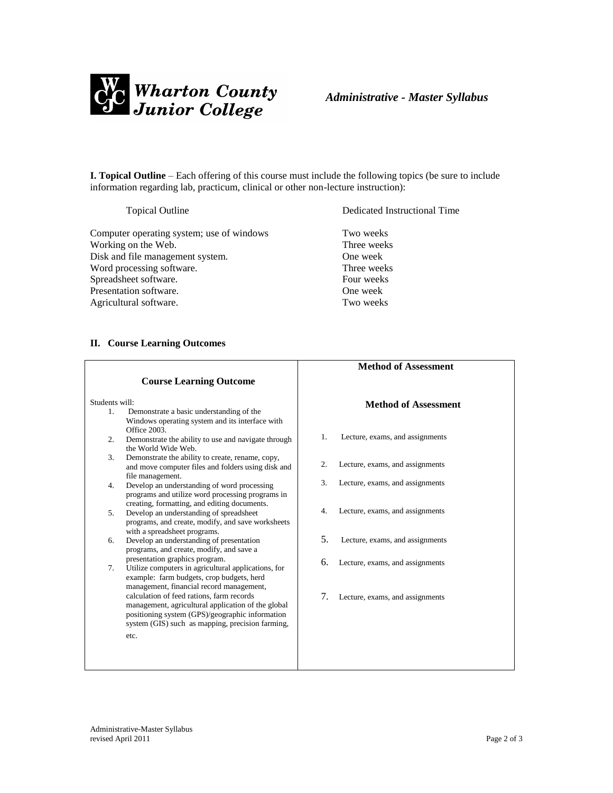

**I. Topical Outline** – Each offering of this course must include the following topics (be sure to include information regarding lab, practicum, clinical or other non-lecture instruction):

Computer operating system; use of windows Two weeks Working on the Web. Three weeks Disk and file management system. One week Word processing software. Three weeks Spreadsheet software. Four weeks Presentation software. One week Agricultural software. Two weeks

Topical Outline Dedicated Instructional Time

### **II. Course Learning Outcomes**

|                |                                                                                                                                                                                                                                                                                                 |    | <b>Method of Assessment</b>     |
|----------------|-------------------------------------------------------------------------------------------------------------------------------------------------------------------------------------------------------------------------------------------------------------------------------------------------|----|---------------------------------|
|                | <b>Course Learning Outcome</b>                                                                                                                                                                                                                                                                  |    |                                 |
| Students will: |                                                                                                                                                                                                                                                                                                 |    | <b>Method of Assessment</b>     |
| $1_{-}$        | Demonstrate a basic understanding of the<br>Windows operating system and its interface with<br>Office 2003.                                                                                                                                                                                     |    |                                 |
| 2.             | Demonstrate the ability to use and navigate through<br>the World Wide Web.                                                                                                                                                                                                                      | 1. | Lecture, exams, and assignments |
| 3.             | Demonstrate the ability to create, rename, copy,<br>and move computer files and folders using disk and                                                                                                                                                                                          | 2. | Lecture, exams, and assignments |
| 4.             | file management.<br>Develop an understanding of word processing<br>programs and utilize word processing programs in                                                                                                                                                                             | 3. | Lecture, exams, and assignments |
| 5.             | creating, formatting, and editing documents.<br>Develop an understanding of spreadsheet                                                                                                                                                                                                         | 4. | Lecture, exams, and assignments |
|                | programs, and create, modify, and save worksheets<br>with a spreadsheet programs.                                                                                                                                                                                                               |    |                                 |
| 6.             | Develop an understanding of presentation<br>programs, and create, modify, and save a                                                                                                                                                                                                            | 5. | Lecture, exams, and assignments |
| 7 <sub>1</sub> | presentation graphics program.<br>Utilize computers in agricultural applications, for                                                                                                                                                                                                           | 6. | Lecture, exams, and assignments |
|                | example: farm budgets, crop budgets, herd<br>management, financial record management,<br>calculation of feed rations, farm records<br>management, agricultural application of the global<br>positioning system (GPS)/geographic information<br>system (GIS) such as mapping, precision farming, | 7. | Lecture, exams, and assignments |
|                | etc.                                                                                                                                                                                                                                                                                            |    |                                 |
|                |                                                                                                                                                                                                                                                                                                 |    |                                 |